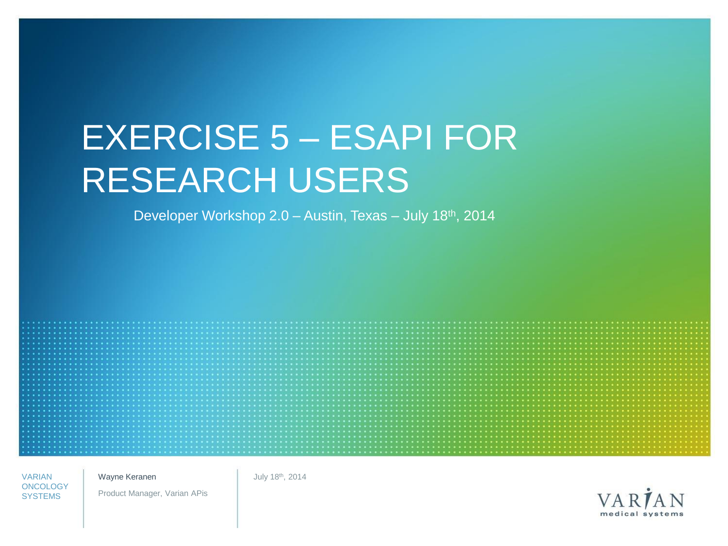### EXERCISE 5 – ESAPI FOR RESEARCH USERS

Developer Workshop 2.0 - Austin, Texas - July 18<sup>th</sup>, 2014

**1** |VARIAN ONCOLOGY SYSTEMS VARIAN **ONCOLOGY SYSTEMS** 

Wayne Keranen

July 18th, 2014



Product Manager, Varian APis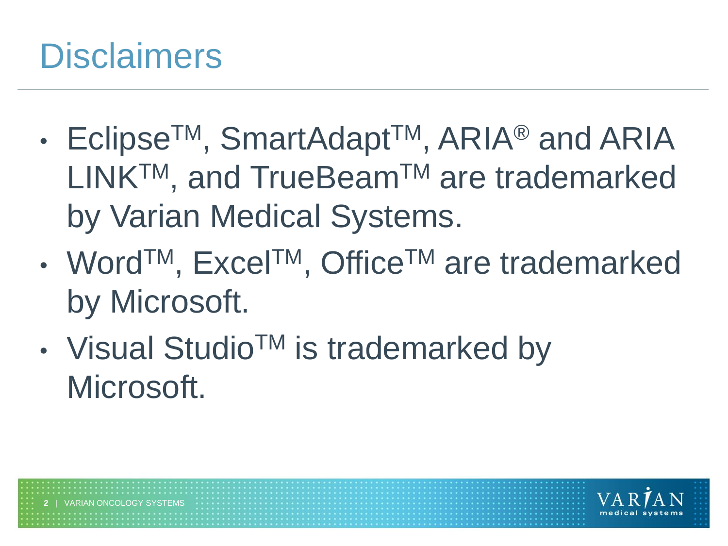### **Disclaimers**

- Eclipse<sup>™</sup>, SmartAdapt<sup>™</sup>, ARIA<sup>®</sup> and ARIA LINK<sup>™</sup>, and TrueBeam<sup>™</sup> are trademarked by Varian Medical Systems.
- Word™, Excel™, Office™ are trademarked by Microsoft.
- Visual Studio<sup>TM</sup> is trademarked by Microsoft.

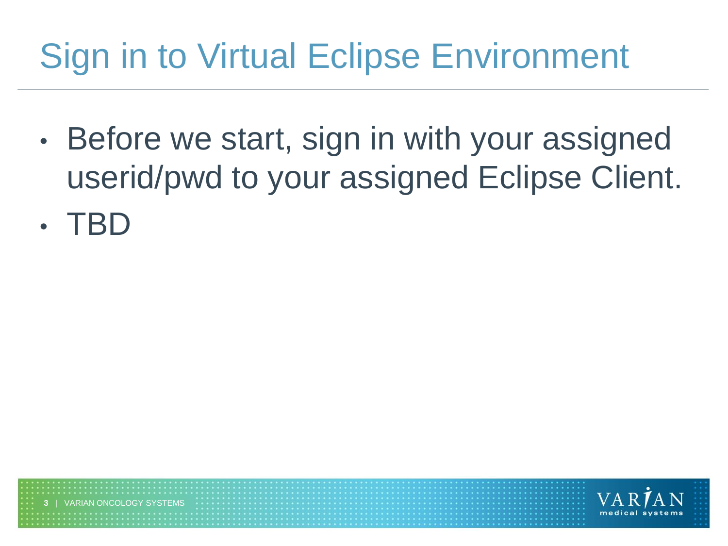# Sign in to Virtual Eclipse Environment

- Before we start, sign in with your assigned userid/pwd to your assigned Eclipse Client.
- TBD

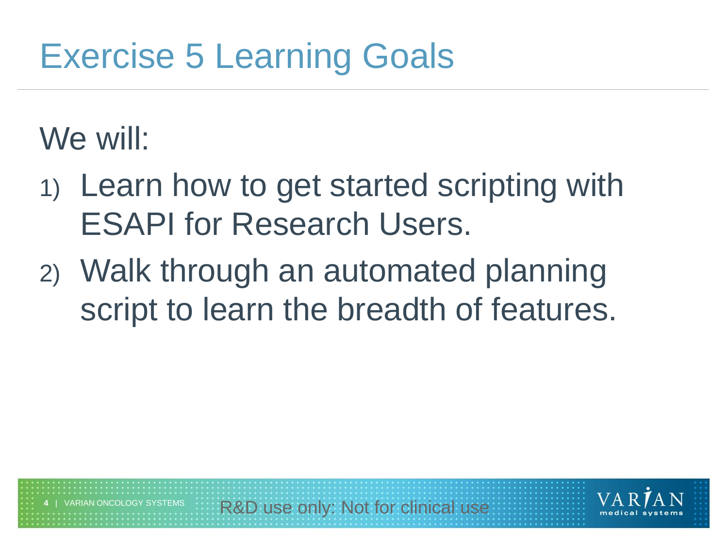### Exercise 5 Learning Goals

#### We will:

**4** |VARIAN ONCOLOGY SYSTEMS

- 1) Learn how to get started scripting with ESAPI for Research Users.
- 2) Walk through an automated planning script to learn the breadth of features.

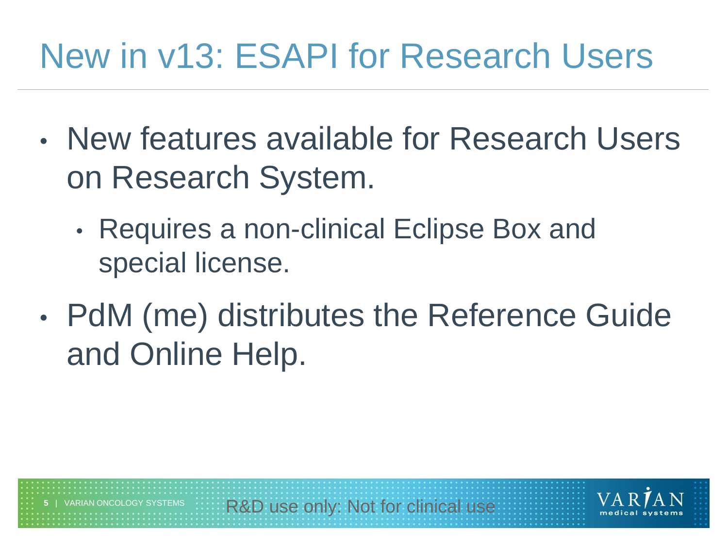## New in v13: ESAPI for Research Users

- New features available for Research Users on Research System.
	- Requires a non-clinical Eclipse Box and special license.

**ARIAN ONCOLOGY SYSTEMS** 

• PdM (me) distributes the Reference Guide and Online Help.

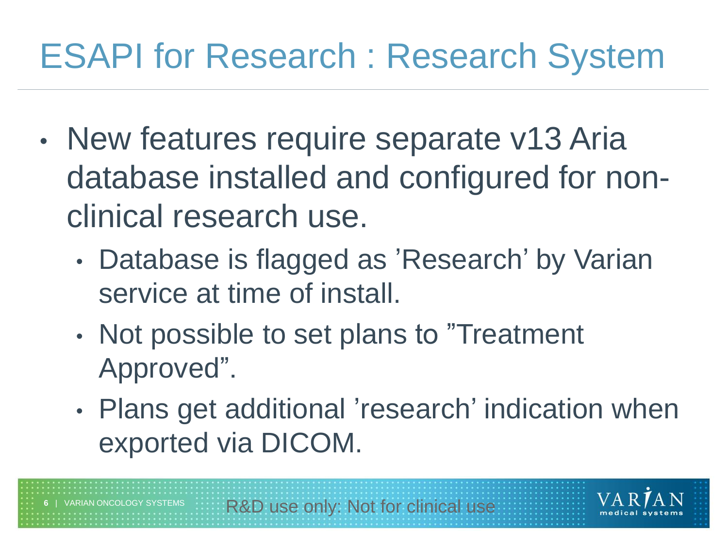# ESAPI for Research : Research System

- New features require separate v13 Aria database installed and configured for nonclinical research use.
	- Database is flagged as 'Research' by Varian service at time of install.
	- Not possible to set plans to "Treatment Approved".

**6** |VARIAN ONCOLOGY SYSTEMS

• Plans get additional 'research' indication when exported via DICOM.

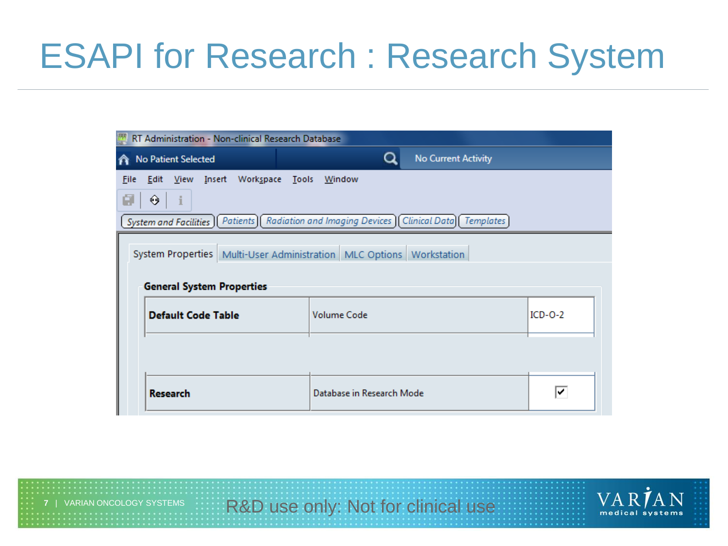### ESAPI for Research : Research System

| RT Administration - Non-clinical Research Database                                                                                                                                          |                           |           |
|---------------------------------------------------------------------------------------------------------------------------------------------------------------------------------------------|---------------------------|-----------|
| No Patient Selected                                                                                                                                                                         | ◯<br>No Current Activity  |           |
| Insert Workspace Tools Window<br>File<br>Edit View<br>Θ<br>$\mathbf{i}$<br>$\theta$  <br>System and Facilities ] [ Patients ] [ Radiation and Imaging Devices ] [ Clinical Data   Templates |                           |           |
| System Properties   Multi-User Administration   MLC Options   Workstation<br><b>General System Properties</b>                                                                               |                           |           |
| <b>Default Code Table</b>                                                                                                                                                                   | <b>Volume Code</b>        | $ICD-O-2$ |
|                                                                                                                                                                                             |                           |           |
| <b>Research</b>                                                                                                                                                                             | Database in Research Mode | ✓         |

R&D use only: Not for clinical use

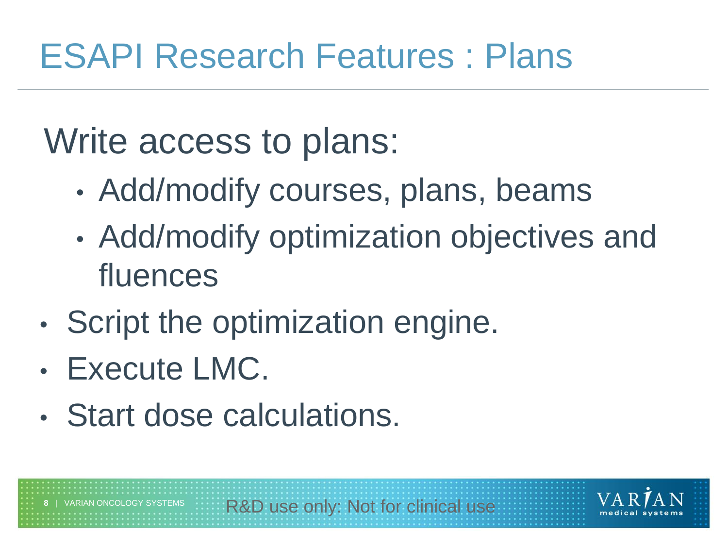### Write access to plans:

- Add/modify courses, plans, beams
- Add/modify optimization objectives and fluences

R&D use only: Not for clinical use

- Script the optimization engine.
- Execute LMC.

**8** |VARIAN ONCOLOGY SYSTEMS

• Start dose calculations.

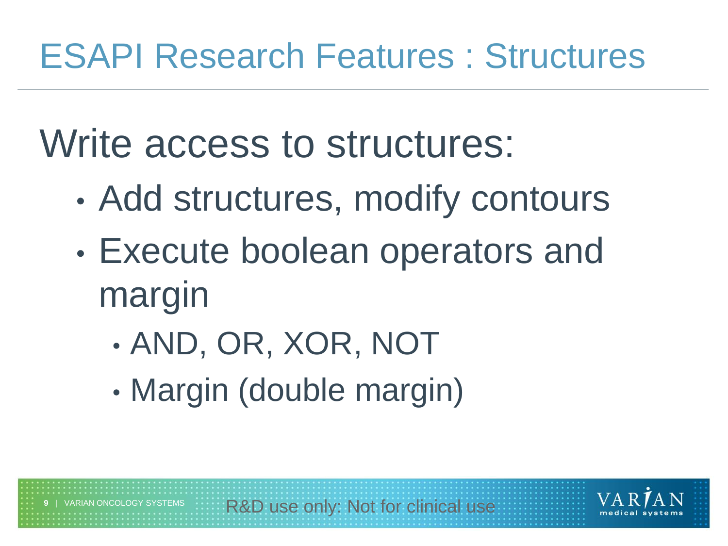### ESAPI Research Features : Structures

# Write access to structures:

- Add structures, modify contours
- Execute boolean operators and margin

R&D use only: Not for clinical use

• AND, OR, XOR, NOT

**ARIAN ONCOLOGY SYSTEMS** 

• Margin (double margin)

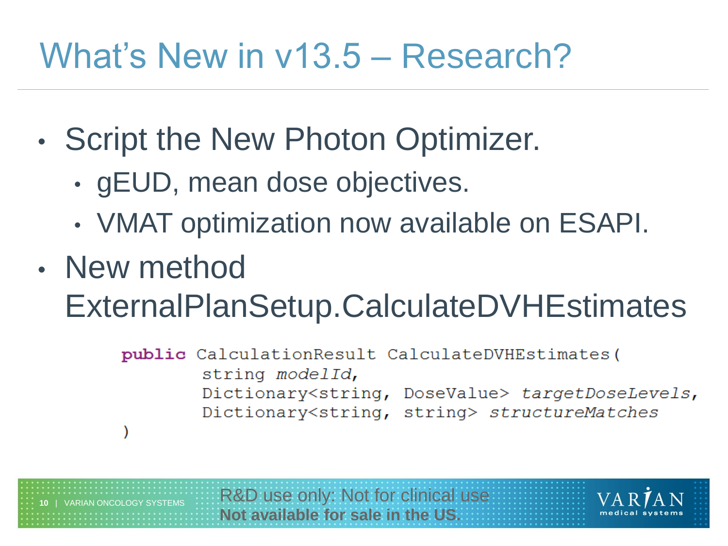## What's New in v13.5 – Research?

- Script the New Photon Optimizer.
	- gEUD, mean dose objectives.
	- VMAT optimization now available on ESAPI.
- New method ExternalPlanSetup.CalculateDVHEstimates

public CalculationResult CalculateDVHEstimates ( string modelId, Dictionary<string, DoseValue> targetDoseLevels, Dictionary<string, string> structureMatches

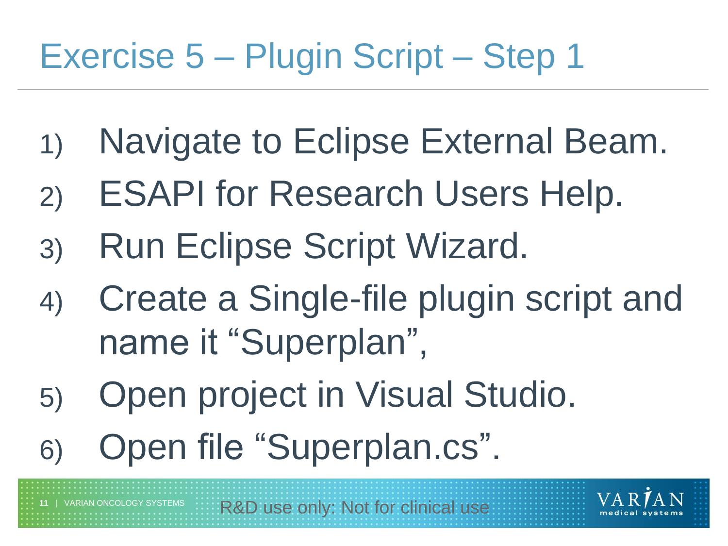# Exercise 5 – Plugin Script – Step 1

- 1) Navigate to Eclipse External Beam.
- 2) ESAPI for Research Users Help.
- 3) Run Eclipse Script Wizard.
- 4) Create a Single-file plugin script and name it "Superplan",

R&D use only: Not for clinical use

- 5) Open project in Visual Studio.
- 6) Open file "Superplan.cs".

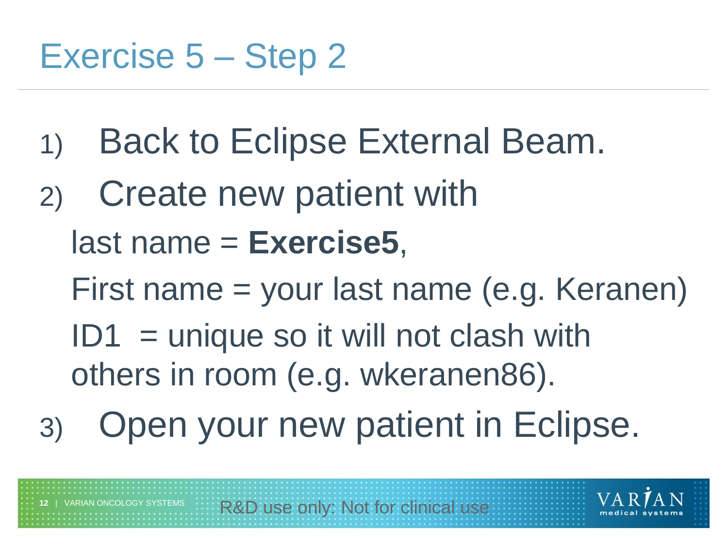

- 1) Back to Eclipse External Beam.
- 2) Create new patient with last name = **Exercise5**,
	- First name = your last name (e.g. Keranen)
	- $ID1 =$  unique so it will not clash with others in room (e.g. wkeranen86).
- 3) Open your new patient in Eclipse.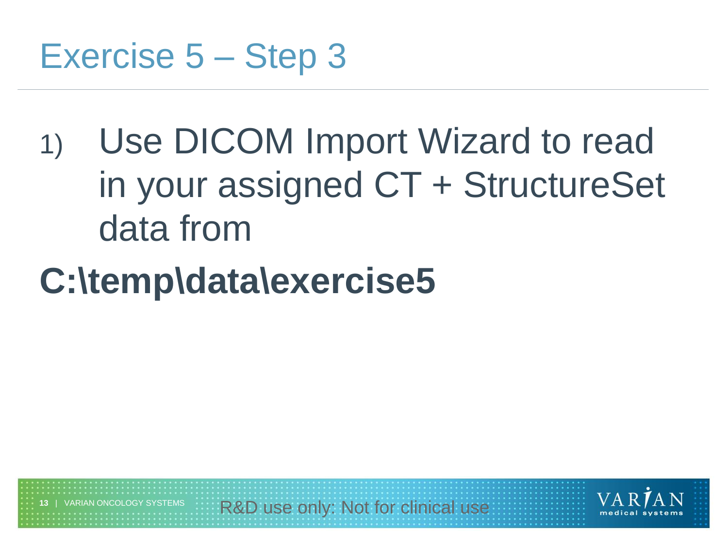

1) Use DICOM Import Wizard to read in your assigned CT + StructureSet data from

R&D use only: Not for clinical use

**C:\temp\data\exercise5**

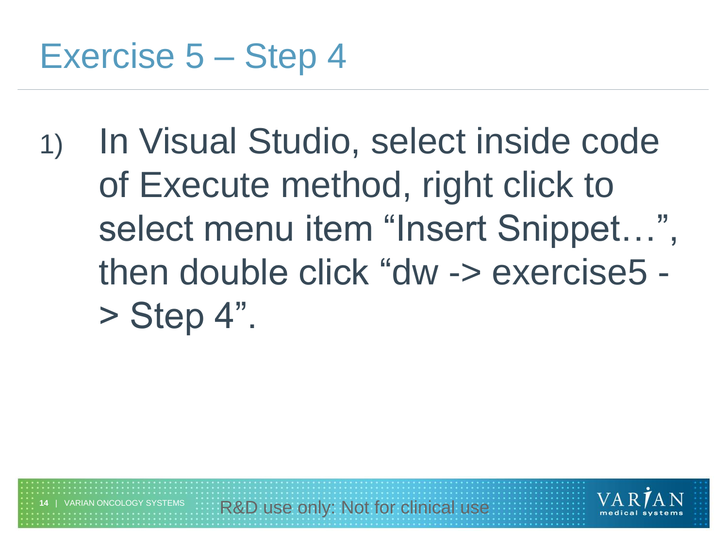

1) In Visual Studio, select inside code of Execute method, right click to select menu item "Insert Snippet…", then double click "dw -> exercise5 - > Step 4".

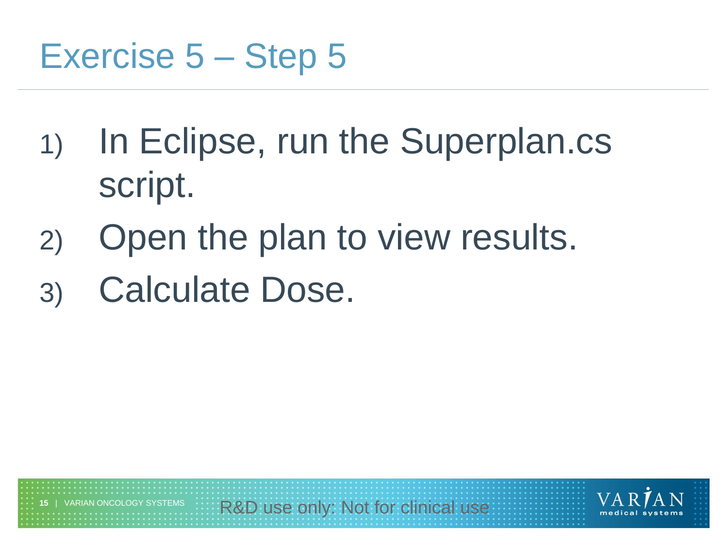

1) In Eclipse, run the Superplan.cs script.

R&D use only: Not for clinical use

- 2) Open the plan to view results.
- 3) Calculate Dose.

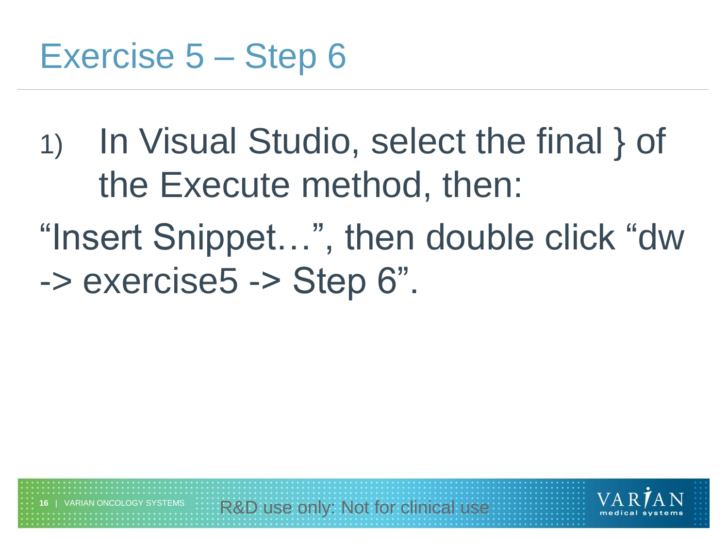

1) In Visual Studio, select the final } of the Execute method, then:

"Insert Snippet…", then double click "dw -> exercise5 -> Step 6".

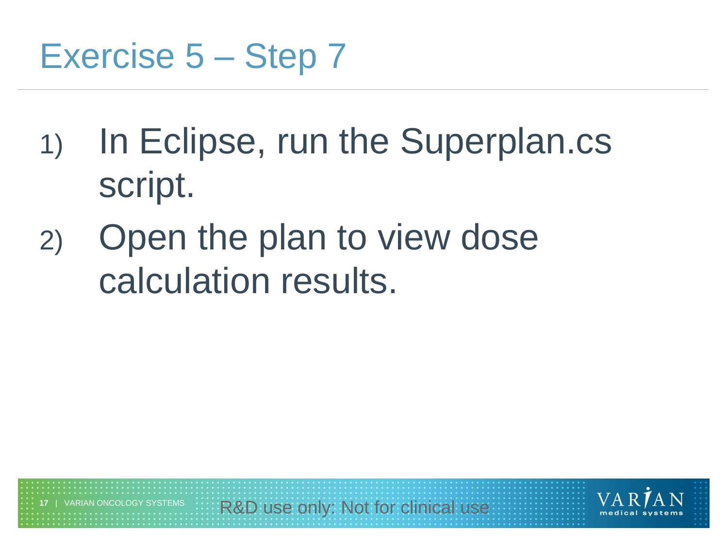

1) In Eclipse, run the Superplan.cs script.

R&D use only: Not for clinical use

2) Open the plan to view dose calculation results.

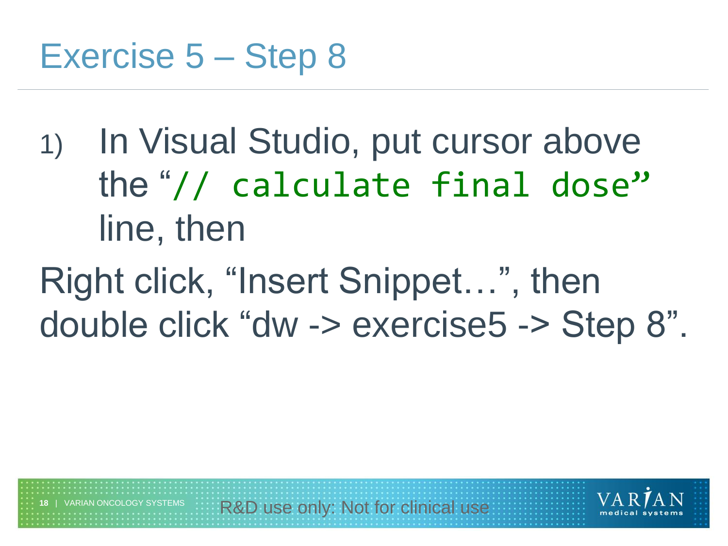

- 1) In Visual Studio, put cursor above the "// calculate final dose" line, then
- Right click, "Insert Snippet…", then double click "dw -> exercise5 -> Step 8".

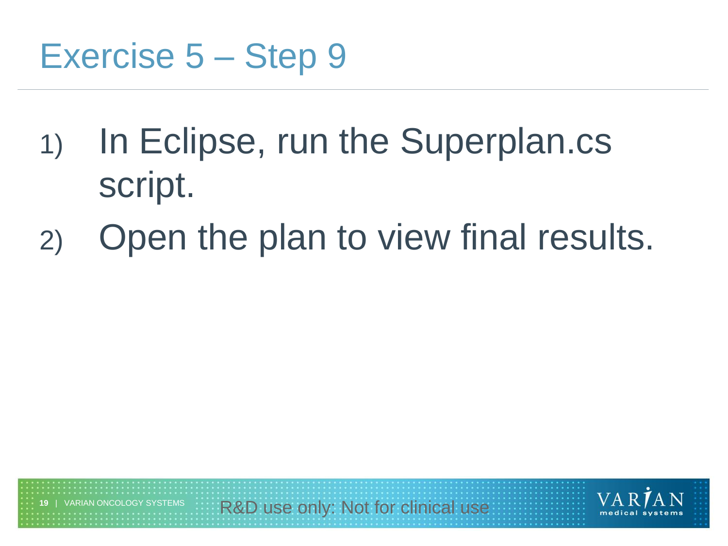

- 1) In Eclipse, run the Superplan.cs script.
- 2) Open the plan to view final results.

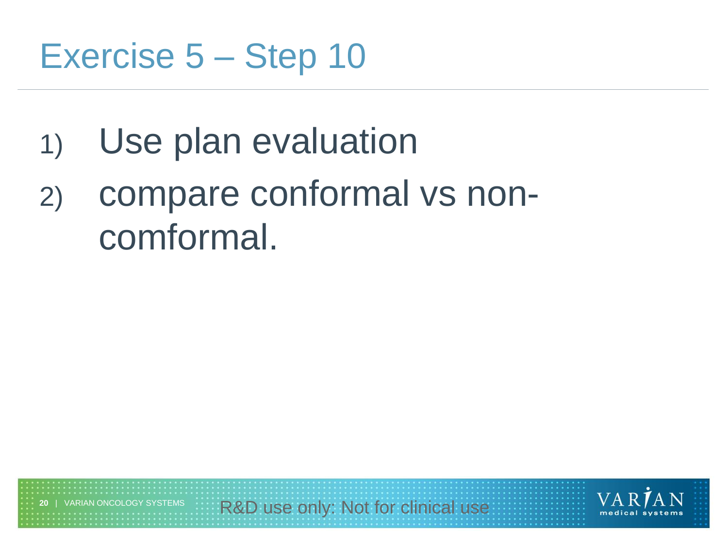#### Exercise 5 – Step 10

**20** |VARIAN ONCOLOGY SYSTEMS

- 1) Use plan evaluation
- 2) compare conformal vs noncomformal.